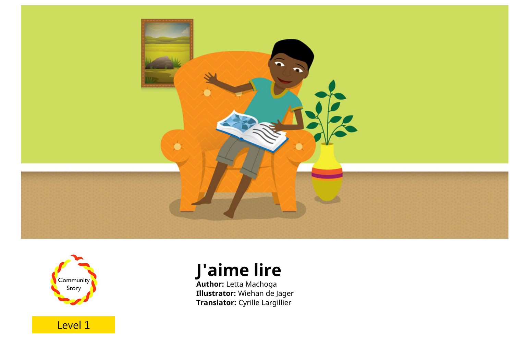



Level 1

# **J'aime lire**

**Author:** Letta Machoga **Illustrator:** Wiehan de Jager **Translator:** Cyrille Largillier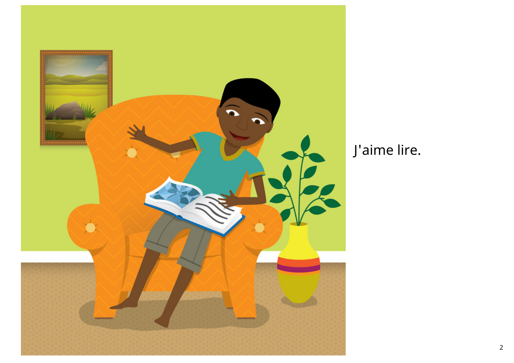

### J'aime lire.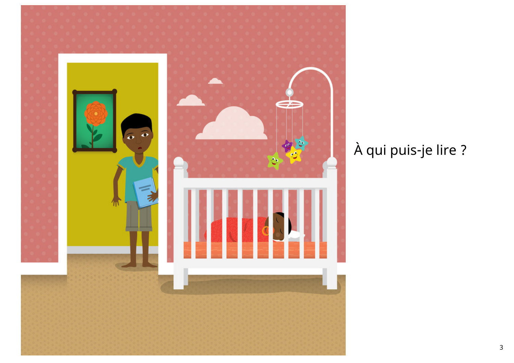

# À qui puis-je lire ?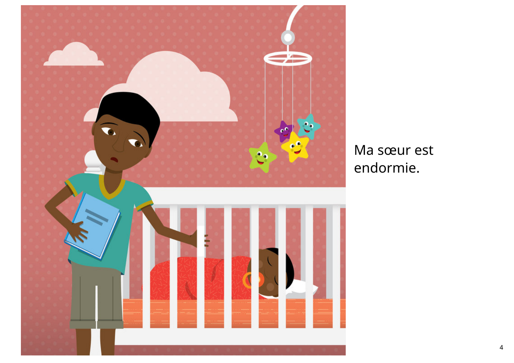

Ma sœur est endormie.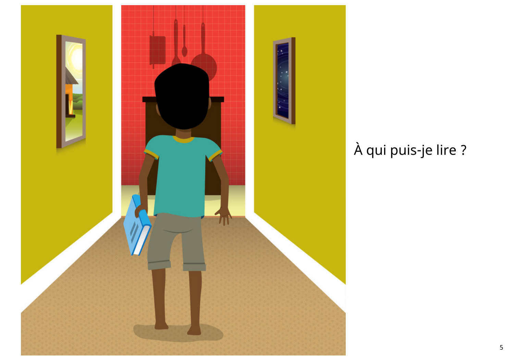

# À qui puis-je lire ?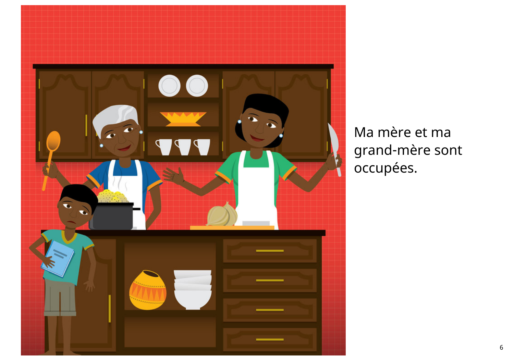

Ma mère et ma grand-mère sont occupées.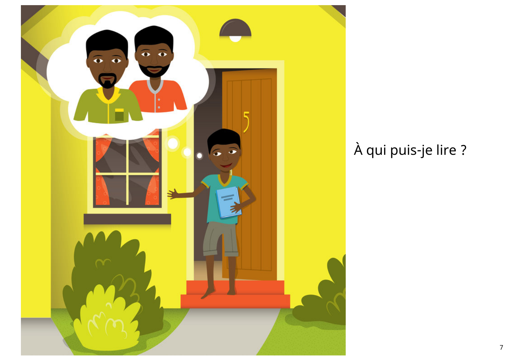

## À qui puis-je lire ?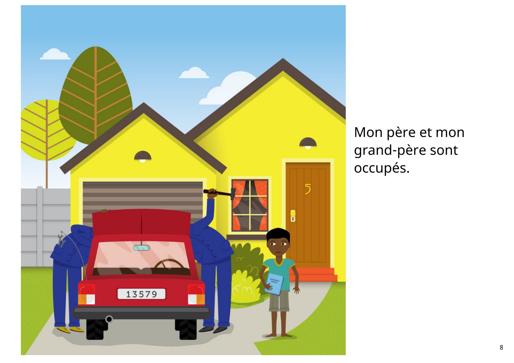

Mon père et mon grand-père sont occupés.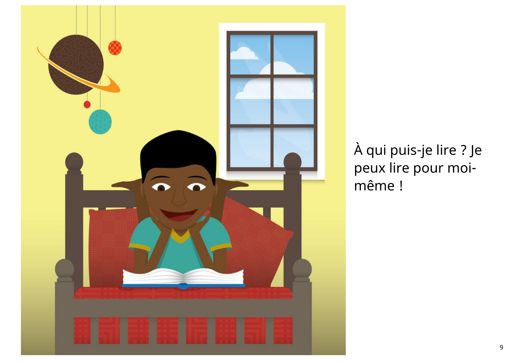

À qui puis-je lire ? Je peux lire pour moimême !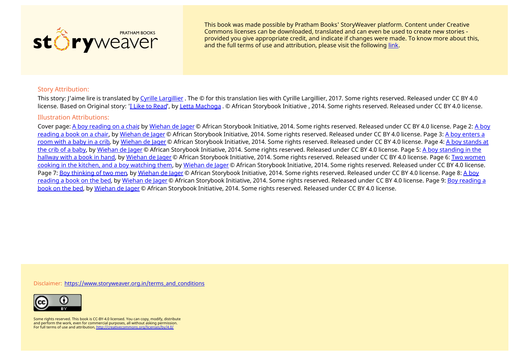

This book was made possible by Pratham Books' StoryWeaver platform. Content under Creative Commons licenses can be downloaded, translated and can even be used to create new stories ‐ provided you give appropriate credit, and indicate if changes were made. To know more about this, and the full terms of use and attribution, please visit the following [link](http://localhost:3000/terms_and_conditions).

#### Story Attribution:

This story: J'aime lire is translated by Cyrille [Largillier](http://localhost:3000/search?search[query]=Cyrille Largillier) . The © for this translation lies with Cyrille Largillier, 2017. Some rights reserved. Released under CC BY 4.0 license. Based on Original story: '<u>I Like to [Read](http://localhost:3000/stories/15058-i-like-to-read)</u>', by Letta [Machoga](http://localhost:3000/search?search[query]=Letta Machoga) . © African Storybook Initiative , 2014. Some rights reserved. Released under CC BY 4.0 license.

#### Illustration Attributions:

Cover page: A boy [reading](http://localhost:3000/illustrations/7135-a-boy-reading-on-a-chair) on a chair, by [Wiehan](http://localhost:3000/illustrations?search[query]=Wiehan de Jager) de Jager © African [Storybook](http://localhost:3000/illustrations/7136-a-boy-reading-a-book-on-a-chair) Initiative, 2014. Some rights reserved. Released under CC BY 4.0 license. Page 2: A boy reading a book on a chair, by [Wiehan](http://localhost:3000/illustrations?search[query]=Wiehan de Jager) de Jager © African [Storybook](http://localhost:3000/illustrations/7137-a-boy-enters-a-room-with-a-baby-in-a-crib) Initiative, 2014. Some rights reserved. Released under CC BY 4.0 license. Page 3: A boy enters a room with a baby in a crib, by [Wiehan](http://localhost:3000/illustrations?search[query]=Wiehan de Jager) de Jager © African [Storybook](http://localhost:3000/illustrations/7138-a-boy-stands-at-the-crib-of-a-baby) Initiative, 2014. Some rights reserved. Released under CC BY 4.0 license. Page 4: A boy stands at the crib of a baby, by [Wiehan](http://localhost:3000/illustrations?search[query]=Wiehan de Jager) de Jager © African [Storybook](http://localhost:3000/illustrations/7139-a-boy-standing-in-the-hallway-with-a-book-in-hand) Initiative, 2014. Some rights reserved. Released under CC BY 4.0 license. Page 5: A boy standing in the hallway with a book in hand, by [Wiehan](http://localhost:3000/illustrations?search[query]=Wiehan de Jager) de Jager © African [Storybook](http://localhost:3000/illustrations/7140-two-women-cooking-in-the-kitchen-and-a-boy-watching-them) Initiative, 2014. Some rights reserved. Released under CC BY 4.0 license. Page 6: Two women cooking in the kitchen, and a boy watching them, by [Wiehan](http://localhost:3000/illustrations?search[query]=Wiehan de Jager) de Jager © African Storybook Initiative, 2014. Some rights reserved. Released under CC BY 4.0 license. Page 7: Boy [thinking](http://localhost:3000/illustrations/7141-boy-thinking-of-two-men) of two men, by [Wiehan](http://localhost:3000/illustrations?search[query]=Wiehan de Jager) de Jager © African [Storybook](http://localhost:3000/illustrations/7142-a-boy-reading-a-book-on-the-bed) Initiative, 2014. Some rights reserved. Released under CC BY 4.0 license. Page 8: A boy reading a book on the bed, by [Wiehan](http://localhost:3000/illustrations?search[query]=Wiehan de Jager) de Jager © African Storybook Initiative, 2014. Some rights reserved. Released under CC BY 4.0 license. Page 9: Boy reading a book on the bed, by [Wiehan](http://localhost:3000/illustrations?search[query]=Wiehan de Jager) de Jager © African [Storybook](http://localhost:3000/illustrations/7146-boy-reading-a-book-on-the-bed) Initiative, 2014. Some rights reserved. Released under CC BY 4.0 license.

Disclaimer: [https://www.storyweaver.org.in/terms\\_and\\_conditions](http://localhost:3000/terms_and_conditions)



Some rights reserved. This book is CC-BY-4.0 licensed. You can copy, modify, distribute and perform the work, even for commercial purposes, all without asking permission.<br>For full terms of use and attribution, <u><http://creativecommons.org/licenses/by/4.0/></u>